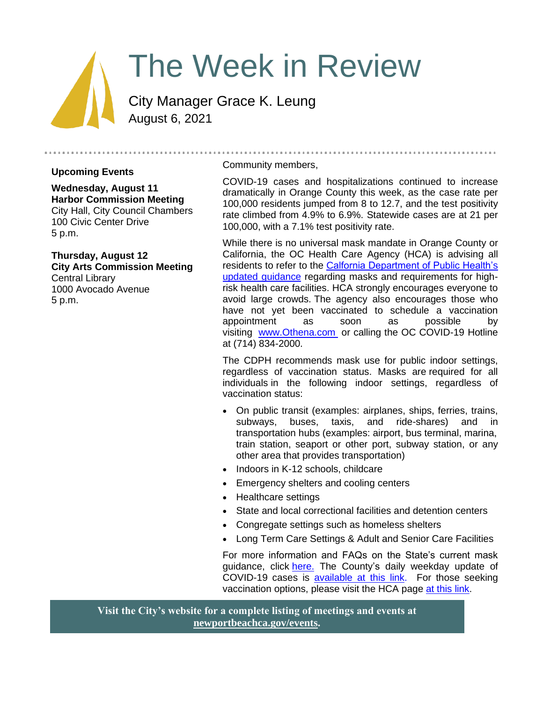# The Week in Review

City Manager Grace K. Leung August 6, 2021

#### **Upcoming Events**

**Wednesday, August 11 Harbor Commission Meeting** City Hall, City Council Chambers 100 Civic Center Drive 5 p.m.

**Thursday, August 12 City Arts Commission Meeting** Central Library 1000 Avocado Avenue 5 p.m.

#### Community members,

COVID-19 cases and hospitalizations continued to increase dramatically in Orange County this week, as the case rate per 100,000 residents jumped from 8 to 12.7, and the test positivity rate climbed from 4.9% to 6.9%. Statewide cases are at 21 per 100,000, with a 7.1% test positivity rate.

While there is no universal mask mandate in Orange County or California, the OC Health Care Agency (HCA) is advising all residents to refer to the [Calfornia Department of Public Health's](https://www.cdph.ca.gov/Programs/CID/DCDC/Pages/COVID-19/guidance-for-face-coverings.aspx)  [updated guidance](https://www.cdph.ca.gov/Programs/CID/DCDC/Pages/COVID-19/guidance-for-face-coverings.aspx) regarding masks and requirements for highrisk health care facilities. HCA strongly encourages everyone to avoid large crowds. The agency also encourages those who have not yet been vaccinated to schedule a vaccination appointment as soon as possible by visiting [www.Othena.com](http://www.Othena.com ) or calling the OC COVID-19 Hotline at (714) 834-2000.

The CDPH recommends mask use for public indoor settings, regardless of vaccination status. Masks are required for all individuals in the following indoor settings, regardless of vaccination status:

- On public transit (examples: airplanes, ships, ferries, trains, subways, buses, taxis, and ride-shares) and in transportation hubs (examples: airport, bus terminal, marina, train station, seaport or other port, subway station, or any other area that provides transportation)
- Indoors in K-12 schools, childcare
- Emergency shelters and cooling centers
- Healthcare settings
- State and local correctional facilities and detention centers
- Congregate settings such as homeless shelters
- Long Term Care Settings & Adult and Senior Care Facilities

For more information and FAQs on the State's current mask guidance, click [here.](https://www.cdph.ca.gov/Programs/CID/DCDC/Pages/COVID-19/guidance-for-face-coverings.aspx) The County's daily weekday update of COVID-19 cases is [available at this link.](https://ochca.maps.arcgis.com/apps/dashboards/cc4859c8c522496b9f21c451de2fedae) For those seeking vaccination options, please visit the HCA page [at this link.](https://occovid19.ochealthinfo.com/covid-19-vaccine-distribution-channels)

**Visit the City's website for a complete listing of meetings and events at [newportbeachca.gov/events.](https://www.newportbeachca.gov/government/data-hub/city-calendar)**